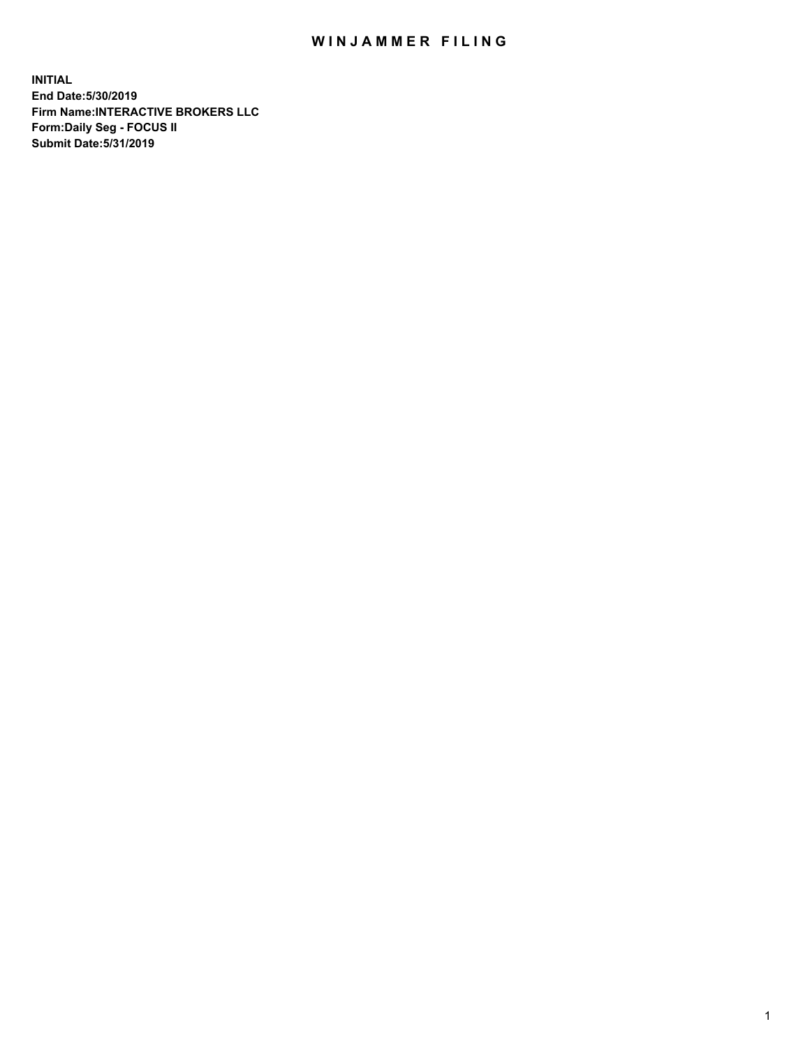## WIN JAMMER FILING

**INITIAL End Date:5/30/2019 Firm Name:INTERACTIVE BROKERS LLC Form:Daily Seg - FOCUS II Submit Date:5/31/2019**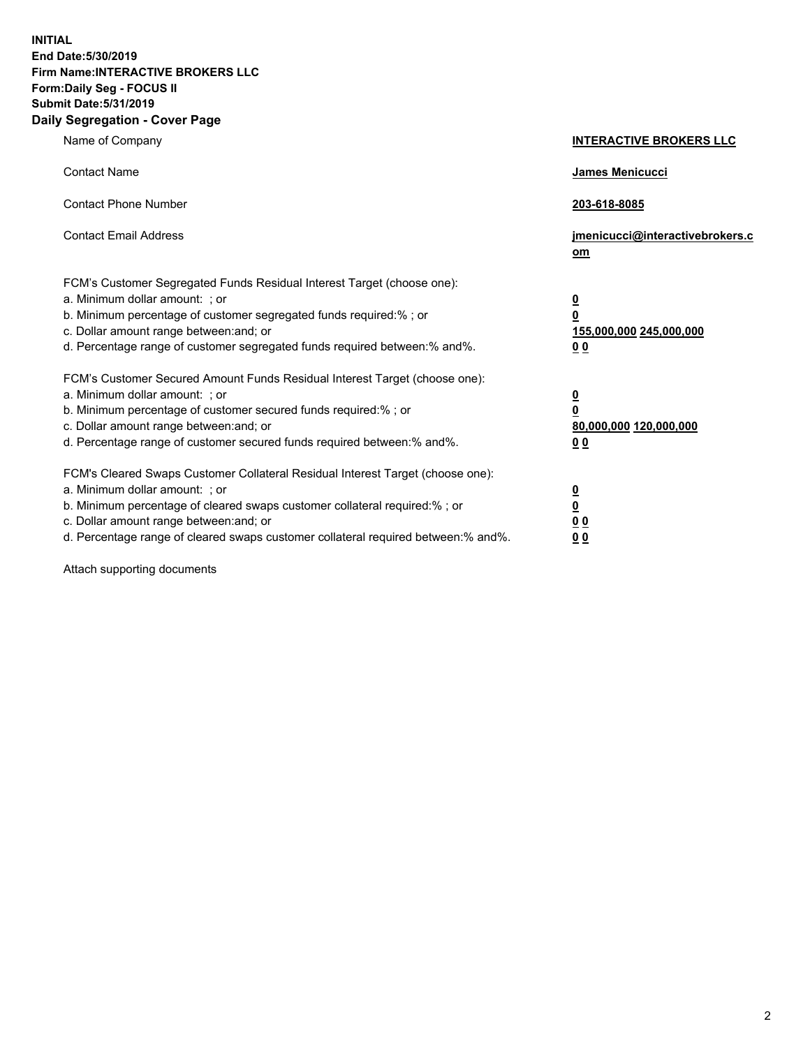**INITIAL End Date:5/30/2019 Firm Name:INTERACTIVE BROKERS LLC Form:Daily Seg - FOCUS II Submit Date:5/31/2019 Daily Segregation - Cover Page**

| Name of Company                                                                                                                                                                                                                                                                                                                | <b>INTERACTIVE BROKERS LLC</b>                                                   |
|--------------------------------------------------------------------------------------------------------------------------------------------------------------------------------------------------------------------------------------------------------------------------------------------------------------------------------|----------------------------------------------------------------------------------|
| <b>Contact Name</b>                                                                                                                                                                                                                                                                                                            | James Menicucci                                                                  |
| <b>Contact Phone Number</b>                                                                                                                                                                                                                                                                                                    | 203-618-8085                                                                     |
| <b>Contact Email Address</b>                                                                                                                                                                                                                                                                                                   | jmenicucci@interactivebrokers.c<br>om                                            |
| FCM's Customer Segregated Funds Residual Interest Target (choose one):<br>a. Minimum dollar amount: ; or<br>b. Minimum percentage of customer segregated funds required:% ; or<br>c. Dollar amount range between: and; or<br>d. Percentage range of customer segregated funds required between:% and%.                         | <u>0</u><br>$\overline{\mathbf{0}}$<br>155,000,000 245,000,000<br>0 <sub>0</sub> |
| FCM's Customer Secured Amount Funds Residual Interest Target (choose one):<br>a. Minimum dollar amount: ; or<br>b. Minimum percentage of customer secured funds required:% ; or<br>c. Dollar amount range between: and; or<br>d. Percentage range of customer secured funds required between:% and%.                           | <u>0</u><br>$\overline{\mathbf{0}}$<br>80,000,000 120,000,000<br>0 <sub>0</sub>  |
| FCM's Cleared Swaps Customer Collateral Residual Interest Target (choose one):<br>a. Minimum dollar amount: ; or<br>b. Minimum percentage of cleared swaps customer collateral required:% ; or<br>c. Dollar amount range between: and; or<br>d. Percentage range of cleared swaps customer collateral required between:% and%. | <u>0</u><br>$\underline{\mathbf{0}}$<br>0 <sub>0</sub><br>0 <sub>0</sub>         |

Attach supporting documents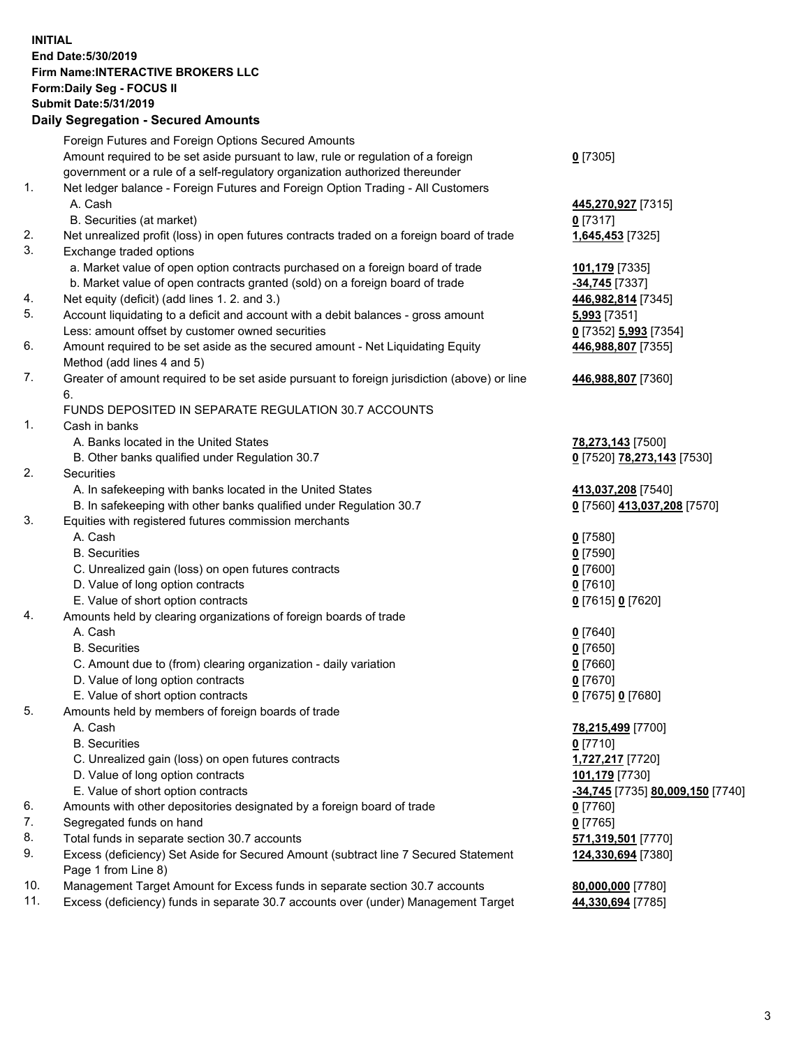## **INITIAL End Date:5/30/2019 Firm Name:INTERACTIVE BROKERS LLC Form:Daily Seg - FOCUS II Submit Date:5/31/2019 Daily Segregation - Secured Amounts**

|                | Dany Ocgregation - Oceaned Anioante                                                               |                                                      |
|----------------|---------------------------------------------------------------------------------------------------|------------------------------------------------------|
|                | Foreign Futures and Foreign Options Secured Amounts                                               |                                                      |
|                | Amount required to be set aside pursuant to law, rule or regulation of a foreign                  | $0$ [7305]                                           |
|                | government or a rule of a self-regulatory organization authorized thereunder                      |                                                      |
| 1.             | Net ledger balance - Foreign Futures and Foreign Option Trading - All Customers                   |                                                      |
|                | A. Cash                                                                                           | 445,270,927 [7315]                                   |
|                | B. Securities (at market)                                                                         | $0$ [7317]                                           |
| 2.             | Net unrealized profit (loss) in open futures contracts traded on a foreign board of trade         | 1,645,453 [7325]                                     |
| 3.             | Exchange traded options                                                                           |                                                      |
|                | a. Market value of open option contracts purchased on a foreign board of trade                    | 101,179 [7335]                                       |
|                | b. Market value of open contracts granted (sold) on a foreign board of trade                      | -34,745 [7337]                                       |
| 4.             | Net equity (deficit) (add lines 1. 2. and 3.)                                                     | 446,982,814 [7345]                                   |
| 5.             | Account liquidating to a deficit and account with a debit balances - gross amount                 | 5,993 [7351]                                         |
|                | Less: amount offset by customer owned securities                                                  | 0 [7352] 5,993 [7354]                                |
| 6.             | Amount required to be set aside as the secured amount - Net Liquidating Equity                    | 446,988,807 [7355]                                   |
|                | Method (add lines 4 and 5)                                                                        |                                                      |
| 7.             | Greater of amount required to be set aside pursuant to foreign jurisdiction (above) or line<br>6. | 446,988,807 [7360]                                   |
|                | FUNDS DEPOSITED IN SEPARATE REGULATION 30.7 ACCOUNTS                                              |                                                      |
| $\mathbf{1}$ . | Cash in banks                                                                                     |                                                      |
|                | A. Banks located in the United States                                                             | 78,273,143 [7500]                                    |
|                | B. Other banks qualified under Regulation 30.7                                                    | 0 [7520] 78,273,143 [7530]                           |
| 2.             | Securities                                                                                        |                                                      |
|                | A. In safekeeping with banks located in the United States                                         | 413,037,208 [7540]                                   |
|                | B. In safekeeping with other banks qualified under Regulation 30.7                                | 0 [7560] 413,037,208 [7570]                          |
| 3.             | Equities with registered futures commission merchants                                             |                                                      |
|                | A. Cash                                                                                           | $0$ [7580]                                           |
|                | <b>B.</b> Securities                                                                              | $0$ [7590]                                           |
|                | C. Unrealized gain (loss) on open futures contracts                                               | $0$ [7600]                                           |
|                | D. Value of long option contracts                                                                 | $0$ [7610]                                           |
|                | E. Value of short option contracts                                                                | 0 [7615] 0 [7620]                                    |
| 4.             | Amounts held by clearing organizations of foreign boards of trade                                 |                                                      |
|                | A. Cash                                                                                           | $0$ [7640]                                           |
|                | <b>B.</b> Securities                                                                              | $0$ [7650]                                           |
|                | C. Amount due to (from) clearing organization - daily variation                                   | $0$ [7660]                                           |
|                | D. Value of long option contracts                                                                 | $0$ [7670]                                           |
|                | E. Value of short option contracts                                                                | 0 [7675] 0 [7680]                                    |
| 5.             | Amounts held by members of foreign boards of trade                                                |                                                      |
|                | A. Cash                                                                                           | 78,215,499 [7700]                                    |
|                | <b>B.</b> Securities                                                                              | $0$ [7710]                                           |
|                | C. Unrealized gain (loss) on open futures contracts                                               | 1,727,217 [7720]                                     |
|                | D. Value of long option contracts                                                                 | 101,179 [7730]                                       |
|                | E. Value of short option contracts                                                                | <mark>-34,745</mark> [7735] <b>80,009,150</b> [7740] |
| 6.             | Amounts with other depositories designated by a foreign board of trade                            | 0 [7760]                                             |
| 7.             | Segregated funds on hand                                                                          | $0$ [7765]                                           |
| 8.             | Total funds in separate section 30.7 accounts                                                     | 571,319,501 [7770]                                   |
| 9.             | Excess (deficiency) Set Aside for Secured Amount (subtract line 7 Secured Statement               | 124,330,694 [7380]                                   |
|                | Page 1 from Line 8)                                                                               |                                                      |
| 10.            | Management Target Amount for Excess funds in separate section 30.7 accounts                       | 80,000,000 [7780]                                    |
| 11.            | Excess (deficiency) funds in separate 30.7 accounts over (under) Management Target                | 44,330,694 [7785]                                    |
|                |                                                                                                   |                                                      |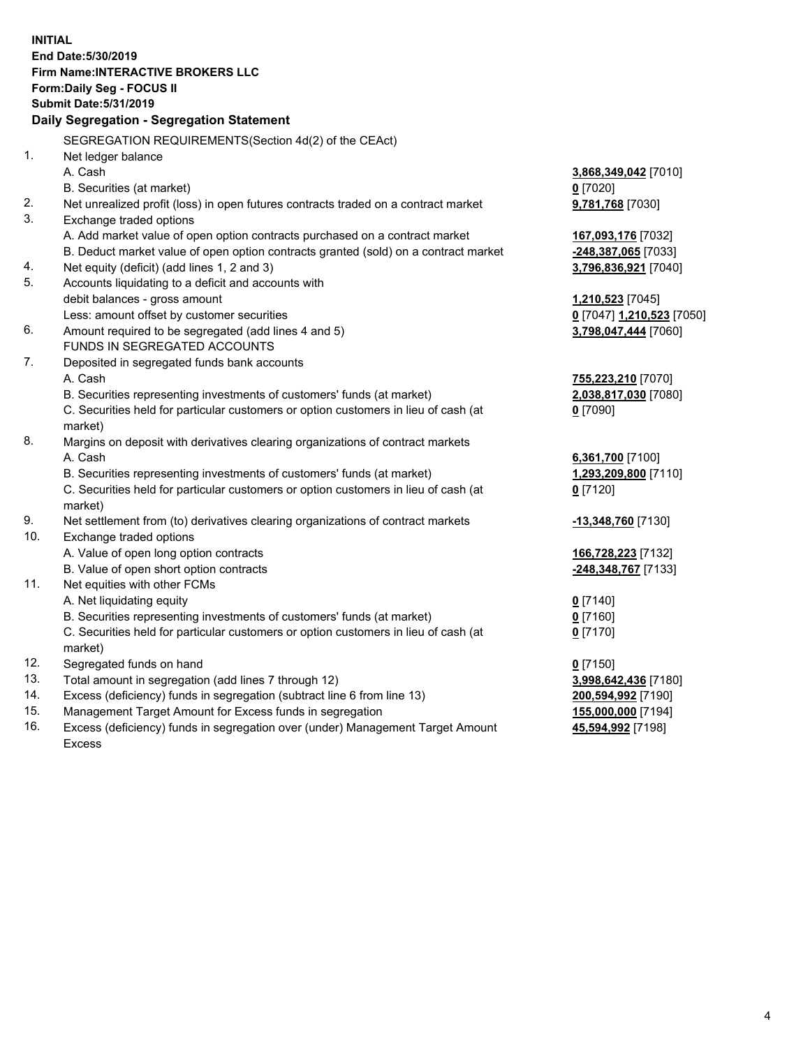**INITIAL End Date:5/30/2019 Firm Name:INTERACTIVE BROKERS LLC Form:Daily Seg - FOCUS II Submit Date:5/31/2019 Daily Segregation - Segregation Statement** SEGREGATION REQUIREMENTS(Section 4d(2) of the CEAct) 1. Net ledger balance A. Cash **3,868,349,042** [7010] B. Securities (at market) **0** [7020] 2. Net unrealized profit (loss) in open futures contracts traded on a contract market **9,781,768** [7030] 3. Exchange traded options A. Add market value of open option contracts purchased on a contract market **167,093,176** [7032] B. Deduct market value of open option contracts granted (sold) on a contract market **-248,387,065** [7033] 4. Net equity (deficit) (add lines 1, 2 and 3) **3,796,836,921** [7040] 5. Accounts liquidating to a deficit and accounts with debit balances - gross amount **1,210,523** [7045] Less: amount offset by customer securities **0** [7047] **1,210,523** [7050] 6. Amount required to be segregated (add lines 4 and 5) **3,798,047,444** [7060] FUNDS IN SEGREGATED ACCOUNTS 7. Deposited in segregated funds bank accounts A. Cash **755,223,210** [7070] B. Securities representing investments of customers' funds (at market) **2,038,817,030** [7080] C. Securities held for particular customers or option customers in lieu of cash (at market) **0** [7090] 8. Margins on deposit with derivatives clearing organizations of contract markets A. Cash **6,361,700** [7100] B. Securities representing investments of customers' funds (at market) **1,293,209,800** [7110] C. Securities held for particular customers or option customers in lieu of cash (at market) **0** [7120] 9. Net settlement from (to) derivatives clearing organizations of contract markets **-13,348,760** [7130] 10. Exchange traded options A. Value of open long option contracts **166,728,223** [7132] B. Value of open short option contracts **-248,348,767** [7133] 11. Net equities with other FCMs A. Net liquidating equity **0** [7140] B. Securities representing investments of customers' funds (at market) **0** [7160] C. Securities held for particular customers or option customers in lieu of cash (at market) **0** [7170] 12. Segregated funds on hand **0** [7150] 13. Total amount in segregation (add lines 7 through 12) **3,998,642,436** [7180] 14. Excess (deficiency) funds in segregation (subtract line 6 from line 13) **200,594,992** [7190] 15. Management Target Amount for Excess funds in segregation **155,000,000** [7194]

16. Excess (deficiency) funds in segregation over (under) Management Target Amount Excess

**45,594,992** [7198]